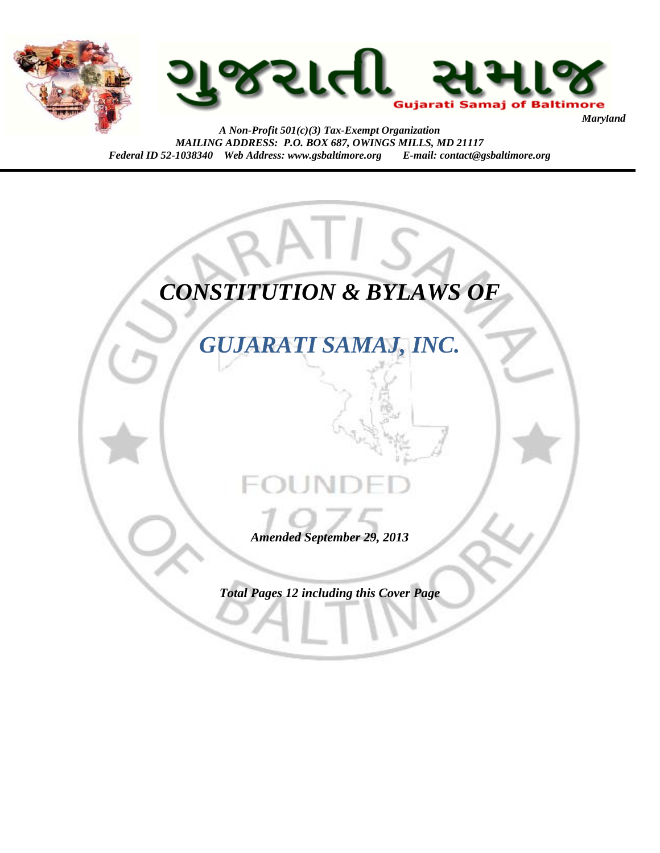



*A Non-Profit 501(c)(3) Tax-Exempt Organization MAILING ADDRESS: P.O. BOX 687, OWINGS MILLS, MD 21117 Federal ID 52-1038340 Web Address: www.gsbaltimore.org E-mail: contact@gsbaltimore.org*

# *CONSTITUTION & BYLAWS OF*

# *GUJARATI SAMAJ, INC.*

*Amended September 29, 2013*

*Total Pages 12 including this Cover Page*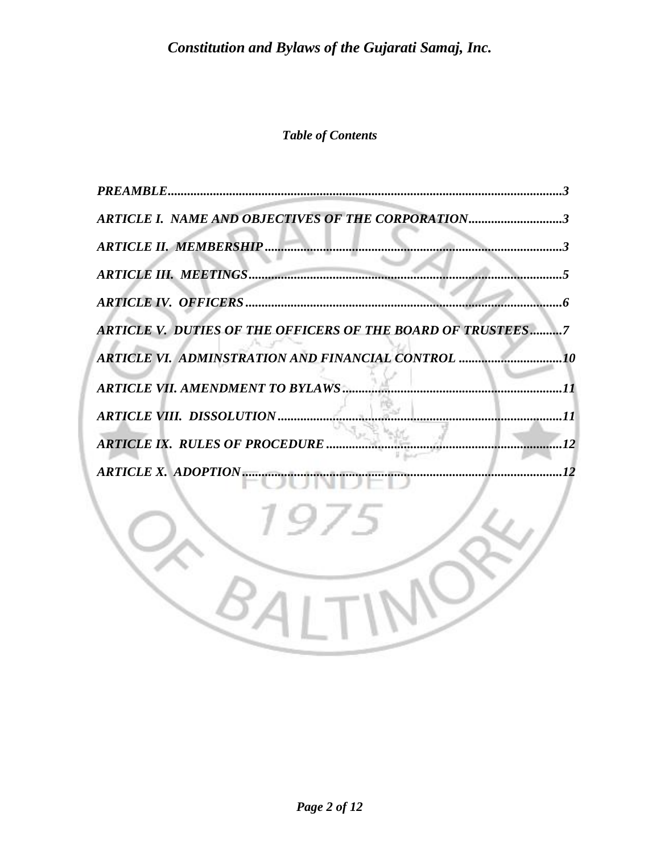### *Table of Contents*

| PREAMBLE                                                                 |
|--------------------------------------------------------------------------|
| <b>ARTICLE I. NAME AND OBJECTIVES OF THE CORPORATION3</b>                |
| <b>ARTICLE II. MEMBERSHIP</b>                                            |
|                                                                          |
|                                                                          |
| ARTICLE V. DUTIES OF THE OFFICERS OF THE BOARD OF TRUSTEES<br>$\ldots$ 7 |
| <b>ARTICLE VI. ADMINSTRATION AND FINANCIAL CONTROL </b><br>10            |
| <b>ARTICLE VII. AMENDMENT TO BYLAWS.</b><br>11                           |
| <b>ARTICLE VIII. DISSOLUTION</b><br>11                                   |
| <b>ARTICLE IX. RULES OF PROCEDURE</b><br>.12                             |
| <b>ARTICLE X. ADOPTION</b><br>12                                         |
|                                                                          |
|                                                                          |
|                                                                          |
|                                                                          |
|                                                                          |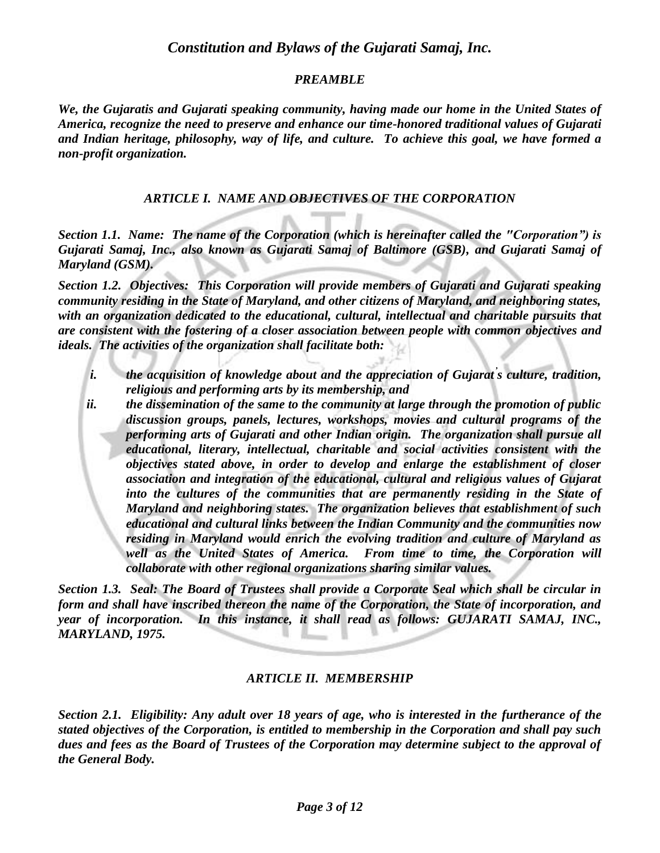### *PREAMBLE*

*We, the Gujaratis and Gujarati speaking community, having made our home in the United States of America, recognize the need to preserve and enhance our time-honored traditional values of Gujarati and Indian heritage, philosophy, way of life, and culture. To achieve this goal, we have formed a non-profit organization.*

### *ARTICLE I. NAME AND OBJECTIVES OF THE CORPORATION*

*Section 1.1. Name: The name of the Corporation (which is hereinafter called the "Corporation") is Gujarati Samaj, Inc., also known as Gujarati Samaj of Baltimore (GSB), and Gujarati Samaj of Maryland (GSM).*

*Section 1.2. Objectives: This Corporation will provide members of Gujarati and Gujarati speaking community residing in the State of Maryland, and other citizens of Maryland, and neighboring states, with an organization dedicated to the educational, cultural, intellectual and charitable pursuits that are consistent with the fostering of a closer association between people with common objectives and ideals. The activities of the organization shall facilitate both:*

- *i. the acquisition of knowledge about and the appreciation of Gujarat' s culture, tradition, religious and performing arts by its membership, and*
- *ii. the dissemination of the same to the community at large through the promotion of public discussion groups, panels, lectures, workshops, movies and cultural programs of the performing arts of Gujarati and other Indian origin. The organization shall pursue all educational, literary, intellectual, charitable and social activities consistent with the objectives stated above, in order to develop and enlarge the establishment of closer association and integration of the educational, cultural and religious values of Gujarat into the cultures of the communities that are permanently residing in the State of Maryland and neighboring states. The organization believes that establishment of such educational and cultural links between the Indian Community and the communities now residing in Maryland would enrich the evolving tradition and culture of Maryland as well as the United States of America. From time to time, the Corporation will collaborate with other regional organizations sharing similar values.*

*Section 1.3. Seal: The Board of Trustees shall provide a Corporate Seal which shall be circular in form and shall have inscribed thereon the name of the Corporation, the State of incorporation, and year of incorporation. In this instance, it shall read as follows: GUJARATI SAMAJ, INC., MARYLAND, 1975.*

### *ARTICLE II. MEMBERSHIP*

*Section 2.1. Eligibility: Any adult over 18 years of age, who is interested in the furtherance of the stated objectives of the Corporation, is entitled to membership in the Corporation and shall pay such dues and fees as the Board of Trustees of the Corporation may determine subject to the approval of the General Body.*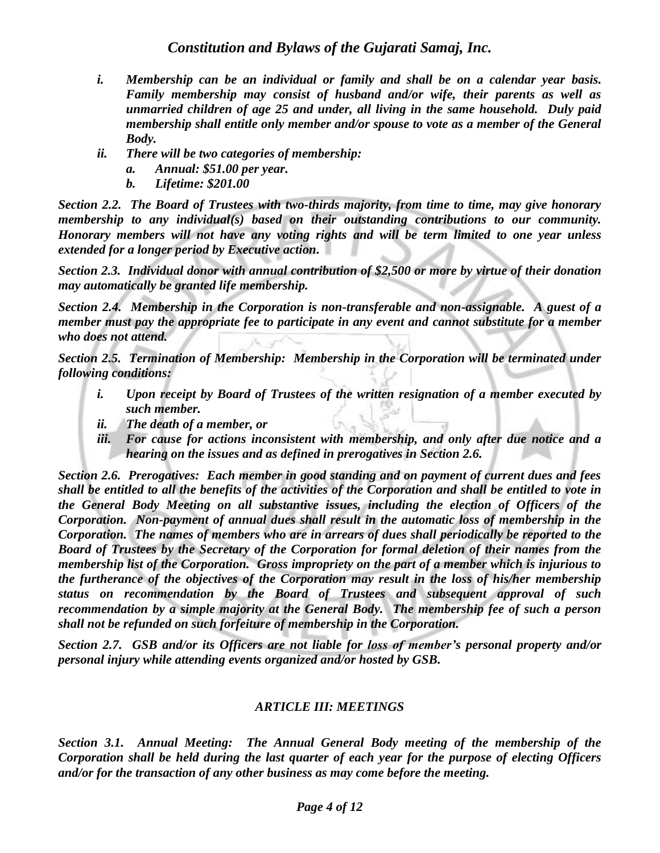- *i. Membership can be an individual or family and shall be on a calendar year basis. Family membership may consist of husband and/or wife, their parents as well as unmarried children of age 25 and under, all living in the same household. Duly paid membership shall entitle only member and/or spouse to vote as a member of the General Body.*
- *ii. There will be two categories of membership:*
	- *a. Annual: \$51.00 per year.*
	- *b. Lifetime: \$201.00*

*Section 2.2. The Board of Trustees with two-thirds majority, from time to time, may give honorary membership to any individual(s) based on their outstanding contributions to our community. Honorary members will not have any voting rights and will be term limited to one year unless extended for a longer period by Executive action.*

*Section 2.3. Individual donor with annual contribution of \$2,500 or more by virtue of their donation may automatically be granted life membership.*

*Section 2.4. Membership in the Corporation is non-transferable and non-assignable. A guest of a member must pay the appropriate fee to participate in any event and cannot substitute for a member who does not attend.*

*Section 2.5. Termination of Membership: Membership in the Corporation will be terminated under following conditions:*

- *i. Upon receipt by Board of Trustees of the written resignation of a member executed by such member.*
- *ii. The death of a member, or*
- *iii. For cause for actions inconsistent with membership, and only after due notice and a hearing on the issues and as defined in prerogatives in Section 2.6.*

*Section 2.6. Prerogatives: Each member in good standing and on payment of current dues and fees shall be entitled to all the benefits of the activities of the Corporation and shall be entitled to vote in the General Body Meeting on all substantive issues, including the election of Officers of the Corporation. Non-payment of annual dues shall result in the automatic loss of membership in the Corporation. The names of members who are in arrears of dues shall periodically be reported to the Board of Trustees by the Secretary of the Corporation for formal deletion of their names from the membership list of the Corporation. Gross impropriety on the part of a member which is injurious to the furtherance of the objectives of the Corporation may result in the loss of his/her membership status on recommendation by the Board of Trustees and subsequent approval of such recommendation by a simple majority at the General Body. The membership fee of such a person shall not be refunded on such forfeiture of membership in the Corporation.*

*Section 2.7. GSB and/or its Officers are not liable for loss of member's personal property and/or personal injury while attending events organized and/or hosted by GSB.*

### *ARTICLE III: MEETINGS*

*Section 3.1. Annual Meeting: The Annual General Body meeting of the membership of the Corporation shall be held during the last quarter of each year for the purpose of electing Officers and/or for the transaction of any other business as may come before the meeting.*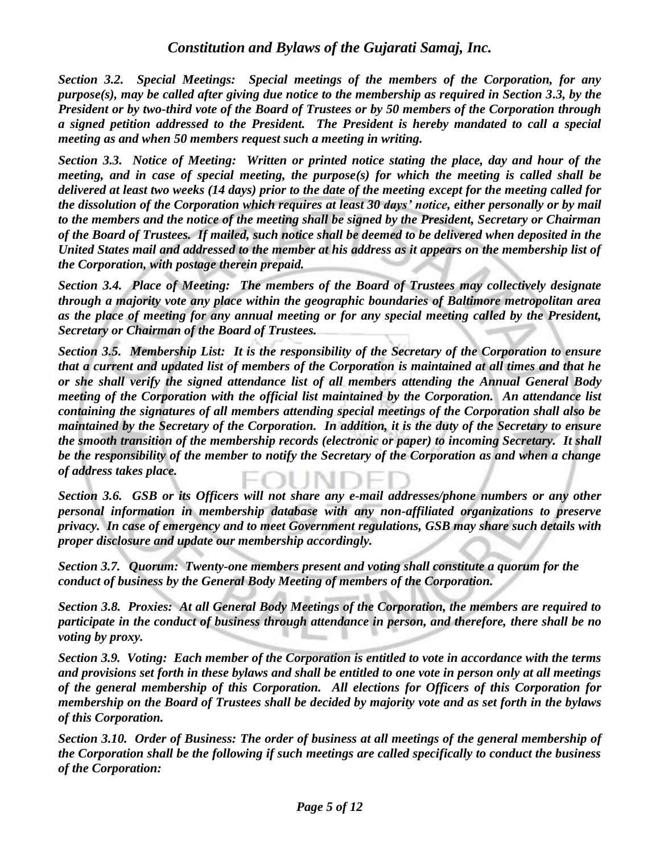*Section 3.2. Special Meetings: Special meetings of the members of the Corporation, for any purpose(s), may be called after giving due notice to the membership as required in Section 3.3, by the President or by two-third vote of the Board of Trustees or by 50 members of the Corporation through a signed petition addressed to the President. The President is hereby mandated to call a special meeting as and when 50 members request such a meeting in writing.*

*Section 3.3. Notice of Meeting: Written or printed notice stating the place, day and hour of the meeting, and in case of special meeting, the purpose(s) for which the meeting is called shall be delivered at least two weeks (14 days) prior to the date of the meeting except for the meeting called for the dissolution of the Corporation which requires at least 30 days' notice, either personally or by mail to the members and the notice of the meeting shall be signed by the President, Secretary or Chairman of the Board of Trustees. If mailed, such notice shall be deemed to be delivered when deposited in the United States mail and addressed to the member at his address as it appears on the membership list of the Corporation, with postage therein prepaid.*

*Section 3.4. Place of Meeting: The members of the Board of Trustees may collectively designate through a majority vote any place within the geographic boundaries of Baltimore metropolitan area as the place of meeting for any annual meeting or for any special meeting called by the President, Secretary or Chairman of the Board of Trustees.*

*Section 3.5. Membership List: It is the responsibility of the Secretary of the Corporation to ensure that a current and updated list of members of the Corporation is maintained at all times and that he or she shall verify the signed attendance list of all members attending the Annual General Body meeting of the Corporation with the official list maintained by the Corporation. An attendance list containing the signatures of all members attending special meetings of the Corporation shall also be maintained by the Secretary of the Corporation. In addition, it is the duty of the Secretary to ensure the smooth transition of the membership records (electronic or paper) to incoming Secretary. It shall be the responsibility of the member to notify the Secretary of the Corporation as and when a change of address takes place.*

*Section 3.6. GSB or its Officers will not share any e-mail addresses/phone numbers or any other personal information in membership database with any non-affiliated organizations to preserve privacy. In case of emergency and to meet Government regulations, GSB may share such details with proper disclosure and update our membership accordingly.*

*Section 3.7. Quorum: Twenty-one members present and voting shall constitute a quorum for the conduct of business by the General Body Meeting of members of the Corporation.*

*Section 3.8. Proxies: At all General Body Meetings of the Corporation, the members are required to participate in the conduct of business through attendance in person, and therefore, there shall be no voting by proxy.*

*Section 3.9. Voting: Each member of the Corporation is entitled to vote in accordance with the terms and provisions set forth in these bylaws and shall be entitled to one vote in person only at all meetings of the general membership of this Corporation. All elections for Officers of this Corporation for membership on the Board of Trustees shall be decided by majority vote and as set forth in the bylaws of this Corporation.*

*Section 3.10. Order of Business: The order of business at all meetings of the general membership of the Corporation shall be the following if such meetings are called specifically to conduct the business of the Corporation:*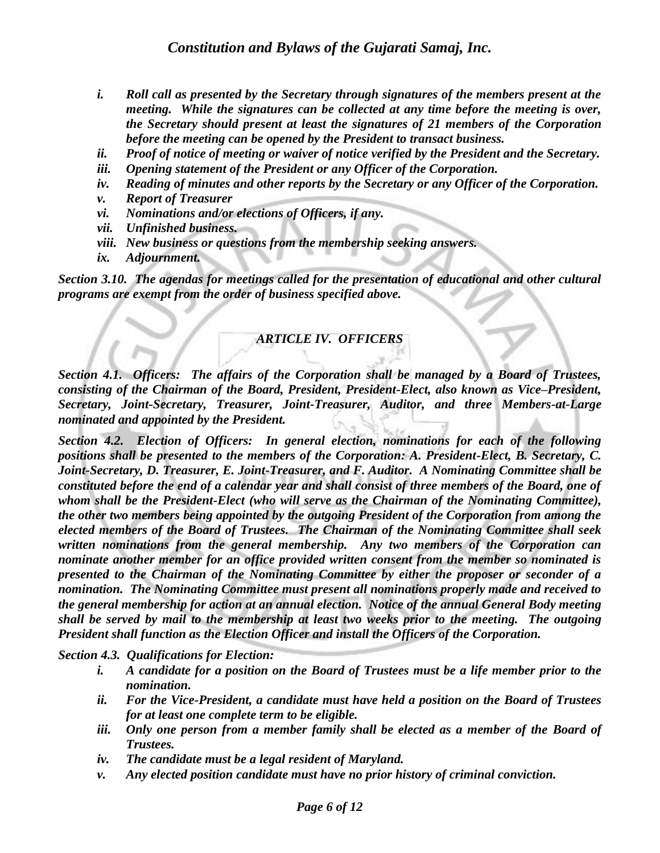- *i. Roll call as presented by the Secretary through signatures of the members present at the meeting. While the signatures can be collected at any time before the meeting is over, the Secretary should present at least the signatures of 21 members of the Corporation before the meeting can be opened by the President to transact business.*
- *ii. Proof of notice of meeting or waiver of notice verified by the President and the Secretary.*
- *iii. Opening statement of the President or any Officer of the Corporation.*
- *iv. Reading of minutes and other reports by the Secretary or any Officer of the Corporation.*
- *v. Report of Treasurer*
- *vi. Nominations and/or elections of Officers, if any.*
- *vii. Unfinished business.*
- *viii. New business or questions from the membership seeking answers.*
- *ix. Adjournment.*

*Section 3.10. The agendas for meetings called for the presentation of educational and other cultural programs are exempt from the order of business specified above.*

### *ARTICLE IV. OFFICERS*

*Section 4.1. Officers: The affairs of the Corporation shall be managed by a Board of Trustees, consisting of the Chairman of the Board, President, President-Elect, also known as Vice–President, Secretary, Joint-Secretary, Treasurer, Joint-Treasurer, Auditor, and three Members-at-Large nominated and appointed by the President.*

*Section 4.2. Election of Officers: In general election, nominations for each of the following positions shall be presented to the members of the Corporation: A. President-Elect, B. Secretary, C. Joint-Secretary, D. Treasurer, E. Joint-Treasurer, and F. Auditor. A Nominating Committee shall be constituted before the end of a calendar year and shall consist of three members of the Board, one of whom shall be the President-Elect (who will serve as the Chairman of the Nominating Committee), the other two members being appointed by the outgoing President of the Corporation from among the elected members of the Board of Trustees. The Chairman of the Nominating Committee shall seek written nominations from the general membership. Any two members of the Corporation can nominate another member for an office provided written consent from the member so nominated is presented to the Chairman of the Nominating Committee by either the proposer or seconder of a nomination. The Nominating Committee must present all nominations properly made and received to the general membership for action at an annual election. Notice of the annual General Body meeting shall be served by mail to the membership at least two weeks prior to the meeting. The outgoing President shall function as the Election Officer and install the Officers of the Corporation.*

*Section 4.3. Qualifications for Election:*

- *i. A candidate for a position on the Board of Trustees must be a life member prior to the nomination.*
- *ii. For the Vice-President, a candidate must have held a position on the Board of Trustees for at least one complete term to be eligible.*
- iii. Only one person from a member family shall be elected as a member of the Board of *Trustees.*
- *iv. The candidate must be a legal resident of Maryland.*
- *v. Any elected position candidate must have no prior history of criminal conviction.*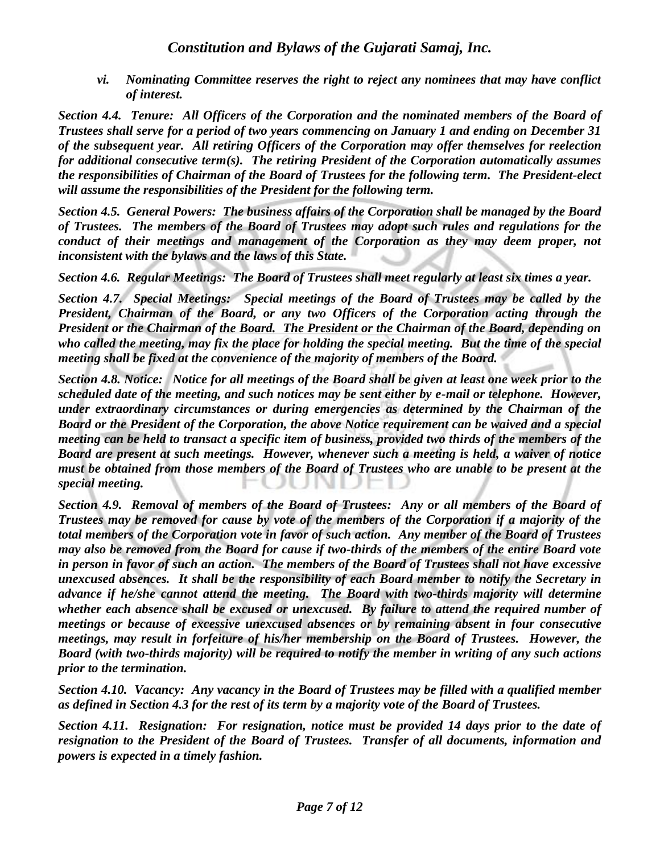*vi. Nominating Committee reserves the right to reject any nominees that may have conflict of interest.*

*Section 4.4. Tenure: All Officers of the Corporation and the nominated members of the Board of Trustees shall serve for a period of two years commencing on January 1 and ending on December 31 of the subsequent year. All retiring Officers of the Corporation may offer themselves for reelection for additional consecutive term(s). The retiring President of the Corporation automatically assumes the responsibilities of Chairman of the Board of Trustees for the following term. The President-elect will assume the responsibilities of the President for the following term.*

*Section 4.5. General Powers: The business affairs of the Corporation shall be managed by the Board of Trustees. The members of the Board of Trustees may adopt such rules and regulations for the conduct of their meetings and management of the Corporation as they may deem proper, not inconsistent with the bylaws and the laws of this State.*

*Section 4.6. Regular Meetings: The Board of Trustees shall meet regularly at least six times a year.*

*Section 4.7. Special Meetings: Special meetings of the Board of Trustees may be called by the President, Chairman of the Board, or any two Officers of the Corporation acting through the President or the Chairman of the Board. The President or the Chairman of the Board, depending on who called the meeting, may fix the place for holding the special meeting. But the time of the special meeting shall be fixed at the convenience of the majority of members of the Board.*

*Section 4.8. Notice: Notice for all meetings of the Board shall be given at least one week prior to the scheduled date of the meeting, and such notices may be sent either by e-mail or telephone. However, under extraordinary circumstances or during emergencies as determined by the Chairman of the Board or the President of the Corporation, the above Notice requirement can be waived and a special meeting can be held to transact a specific item of business, provided two thirds of the members of the Board are present at such meetings. However, whenever such a meeting is held, a waiver of notice must be obtained from those members of the Board of Trustees who are unable to be present at the special meeting.*

*Section 4.9. Removal of members of the Board of Trustees: Any or all members of the Board of Trustees may be removed for cause by vote of the members of the Corporation if a majority of the total members of the Corporation vote in favor of such action. Any member of the Board of Trustees may also be removed from the Board for cause if two-thirds of the members of the entire Board vote in person in favor of such an action. The members of the Board of Trustees shall not have excessive unexcused absences. It shall be the responsibility of each Board member to notify the Secretary in advance if he/she cannot attend the meeting. The Board with two-thirds majority will determine whether each absence shall be excused or unexcused. By failure to attend the required number of meetings or because of excessive unexcused absences or by remaining absent in four consecutive meetings, may result in forfeiture of his/her membership on the Board of Trustees. However, the Board (with two-thirds majority) will be required to notify the member in writing of any such actions prior to the termination.*

*Section 4.10. Vacancy: Any vacancy in the Board of Trustees may be filled with a qualified member as defined in Section 4.3 for the rest of its term by a majority vote of the Board of Trustees.*

*Section 4.11. Resignation: For resignation, notice must be provided 14 days prior to the date of resignation to the President of the Board of Trustees. Transfer of all documents, information and powers is expected in a timely fashion.*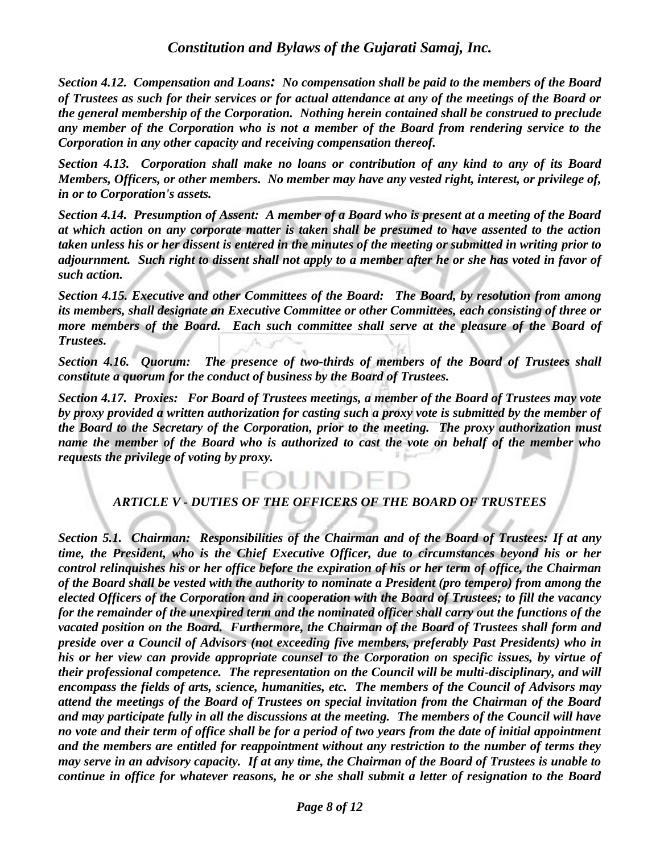*Section 4.12. Compensation and Loans: No compensation shall be paid to the members of the Board of Trustees as such for their services or for actual attendance at any of the meetings of the Board or the general membership of the Corporation. Nothing herein contained shall be construed to preclude any member of the Corporation who is not a member of the Board from rendering service to the Corporation in any other capacity and receiving compensation thereof.*

*Section 4.13. Corporation shall make no loans or contribution of any kind to any of its Board Members, Officers, or other members. No member may have any vested right, interest, or privilege of, in or to Corporation's assets.*

*Section 4.14. Presumption of Assent: A member of a Board who is present at a meeting of the Board at which action on any corporate matter is taken shall be presumed to have assented to the action taken unless his or her dissent is entered in the minutes of the meeting or submitted in writing prior to adjournment. Such right to dissent shall not apply to a member after he or she has voted in favor of such action.*

*Section 4.15. Executive and other Committees of the Board: The Board, by resolution from among its members, shall designate an Executive Committee or other Committees, each consisting of three or more members of the Board. Each such committee shall serve at the pleasure of the Board of Trustees.*

*Section 4.16. Quorum: The presence of two-thirds of members of the Board of Trustees shall constitute a quorum for the conduct of business by the Board of Trustees.*

*Section 4.17. Proxies: For Board of Trustees meetings, a member of the Board of Trustees may vote by proxy provided a written authorization for casting such a proxy vote is submitted by the member of the Board to the Secretary of the Corporation, prior to the meeting. The proxy authorization must name the member of the Board who is authorized to cast the vote on behalf of the member who requests the privilege of voting by proxy.*

## **FOUNDED**

### *ARTICLE V - DUTIES OF THE OFFICERS OF THE BOARD OF TRUSTEES*

*Section 5.1. Chairman: Responsibilities of the Chairman and of the Board of Trustees: If at any time, the President, who is the Chief Executive Officer, due to circumstances beyond his or her control relinquishes his or her office before the expiration of his or her term of office, the Chairman of the Board shall be vested with the authority to nominate a President (pro tempero) from among the elected Officers of the Corporation and in cooperation with the Board of Trustees; to fill the vacancy for the remainder of the unexpired term and the nominated officer shall carry out the functions of the vacated position on the Board. Furthermore, the Chairman of the Board of Trustees shall form and preside over a Council of Advisors (not exceeding five members, preferably Past Presidents) who in his or her view can provide appropriate counsel to the Corporation on specific issues, by virtue of their professional competence. The representation on the Council will be multi-disciplinary, and will encompass the fields of arts, science, humanities, etc. The members of the Council of Advisors may attend the meetings of the Board of Trustees on special invitation from the Chairman of the Board and may participate fully in all the discussions at the meeting. The members of the Council will have no vote and their term of office shall be for a period of two years from the date of initial appointment and the members are entitled for reappointment without any restriction to the number of terms they may serve in an advisory capacity. If at any time, the Chairman of the Board of Trustees is unable to continue in office for whatever reasons, he or she shall submit a letter of resignation to the Board*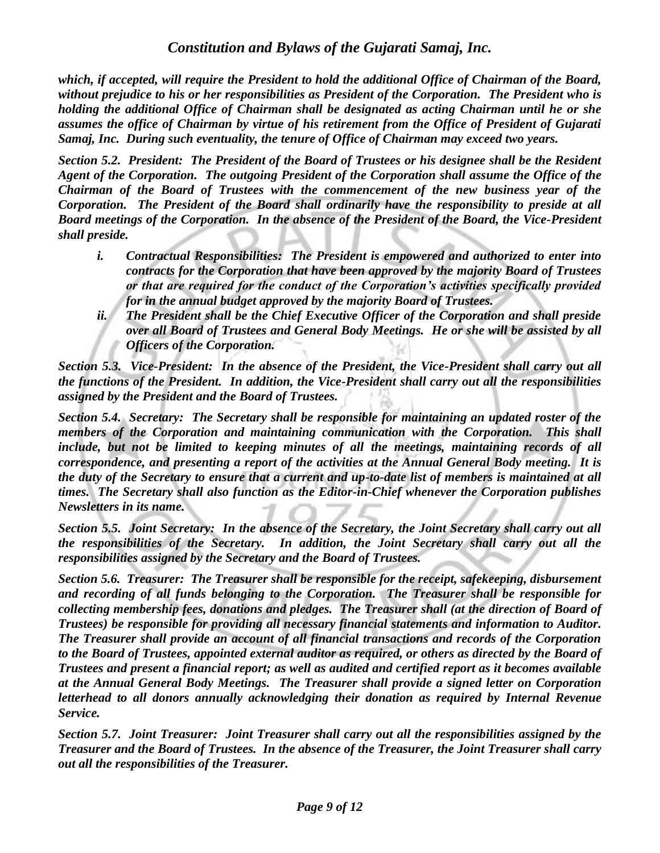*which, if accepted, will require the President to hold the additional Office of Chairman of the Board, without prejudice to his or her responsibilities as President of the Corporation. The President who is holding the additional Office of Chairman shall be designated as acting Chairman until he or she assumes the office of Chairman by virtue of his retirement from the Office of President of Gujarati Samaj, Inc. During such eventuality, the tenure of Office of Chairman may exceed two years.*

*Section 5.2. President: The President of the Board of Trustees or his designee shall be the Resident Agent of the Corporation. The outgoing President of the Corporation shall assume the Office of the Chairman of the Board of Trustees with the commencement of the new business year of the Corporation. The President of the Board shall ordinarily have the responsibility to preside at all Board meetings of the Corporation. In the absence of the President of the Board, the Vice-President shall preside.*

- *i. Contractual Responsibilities: The President is empowered and authorized to enter into contracts for the Corporation that have been approved by the majority Board of Trustees or that are required for the conduct of the Corporation's activities specifically provided for in the annual budget approved by the majority Board of Trustees.*
- *ii. The President shall be the Chief Executive Officer of the Corporation and shall preside over all Board of Trustees and General Body Meetings. He or she will be assisted by all Officers of the Corporation.*

*Section 5.3. Vice-President: In the absence of the President, the Vice-President shall carry out all the functions of the President. In addition, the Vice-President shall carry out all the responsibilities assigned by the President and the Board of Trustees.*

*Section 5.4. Secretary: The Secretary shall be responsible for maintaining an updated roster of the members of the Corporation and maintaining communication with the Corporation. This shall include, but not be limited to keeping minutes of all the meetings, maintaining records of all correspondence, and presenting a report of the activities at the Annual General Body meeting. It is the duty of the Secretary to ensure that a current and up-to-date list of members is maintained at all times. The Secretary shall also function as the Editor-in-Chief whenever the Corporation publishes Newsletters in its name.*

*Section 5.5. Joint Secretary: In the absence of the Secretary, the Joint Secretary shall carry out all the responsibilities of the Secretary. In addition, the Joint Secretary shall carry out all the responsibilities assigned by the Secretary and the Board of Trustees.*

*Section 5.6. Treasurer: The Treasurer shall be responsible for the receipt, safekeeping, disbursement and recording of all funds belonging to the Corporation. The Treasurer shall be responsible for collecting membership fees, donations and pledges. The Treasurer shall (at the direction of Board of Trustees) be responsible for providing all necessary financial statements and information to Auditor. The Treasurer shall provide an account of all financial transactions and records of the Corporation to the Board of Trustees, appointed external auditor as required, or others as directed by the Board of Trustees and present a financial report; as well as audited and certified report as it becomes available at the Annual General Body Meetings. The Treasurer shall provide a signed letter on Corporation letterhead to all donors annually acknowledging their donation as required by Internal Revenue Service.*

*Section 5.7. Joint Treasurer: Joint Treasurer shall carry out all the responsibilities assigned by the Treasurer and the Board of Trustees. In the absence of the Treasurer, the Joint Treasurer shall carry out all the responsibilities of the Treasurer.*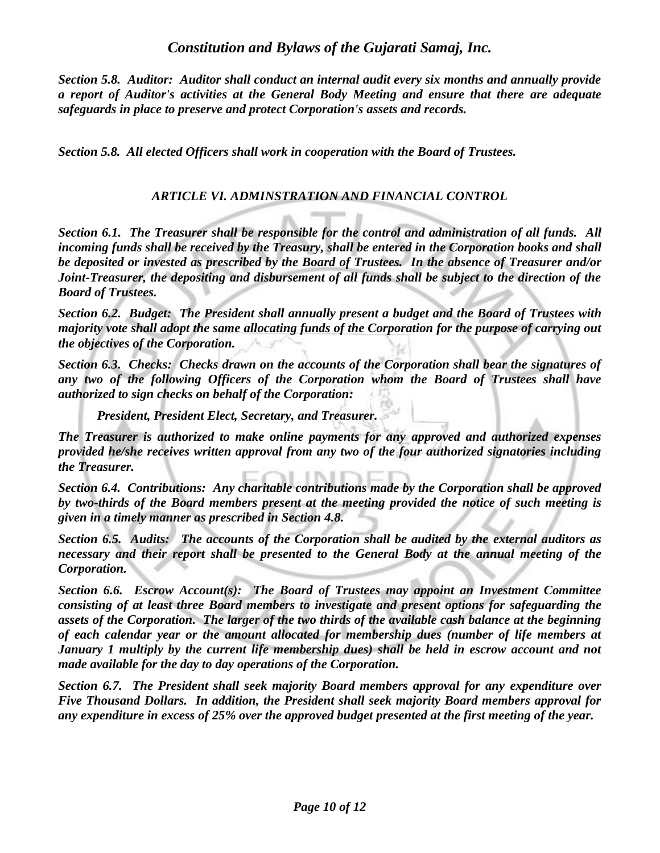*Section 5.8. Auditor: Auditor shall conduct an internal audit every six months and annually provide a report of Auditor's activities at the General Body Meeting and ensure that there are adequate safeguards in place to preserve and protect Corporation's assets and records.*

*Section 5.8. All elected Officers shall work in cooperation with the Board of Trustees.*

### *ARTICLE VI. ADMINSTRATION AND FINANCIAL CONTROL*

*Section 6.1. The Treasurer shall be responsible for the control and administration of all funds. All incoming funds shall be received by the Treasury, shall be entered in the Corporation books and shall be deposited or invested as prescribed by the Board of Trustees. In the absence of Treasurer and/or Joint-Treasurer, the depositing and disbursement of all funds shall be subject to the direction of the Board of Trustees.*

*Section 6.2. Budget: The President shall annually present a budget and the Board of Trustees with majority vote shall adopt the same allocating funds of the Corporation for the purpose of carrying out the objectives of the Corporation.*

*Section 6.3. Checks: Checks drawn on the accounts of the Corporation shall bear the signatures of any two of the following Officers of the Corporation whom the Board of Trustees shall have authorized to sign checks on behalf of the Corporation:*

*President, President Elect, Secretary, and Treasurer.*

*The Treasurer is authorized to make online payments for any approved and authorized expenses provided he/she receives written approval from any two of the four authorized signatories including the Treasurer.*

*Section 6.4. Contributions: Any charitable contributions made by the Corporation shall be approved by two-thirds of the Board members present at the meeting provided the notice of such meeting is given in a timely manner as prescribed in Section 4.8.*

*Section 6.5. Audits: The accounts of the Corporation shall be audited by the external auditors as necessary and their report shall be presented to the General Body at the annual meeting of the Corporation.*

*Section 6.6. Escrow Account(s): The Board of Trustees may appoint an Investment Committee consisting of at least three Board members to investigate and present options for safeguarding the assets of the Corporation. The larger of the two thirds of the available cash balance at the beginning of each calendar year or the amount allocated for membership dues (number of life members at January 1 multiply by the current life membership dues) shall be held in escrow account and not made available for the day to day operations of the Corporation.*

*Section 6.7. The President shall seek majority Board members approval for any expenditure over Five Thousand Dollars. In addition, the President shall seek majority Board members approval for any expenditure in excess of 25% over the approved budget presented at the first meeting of the year.*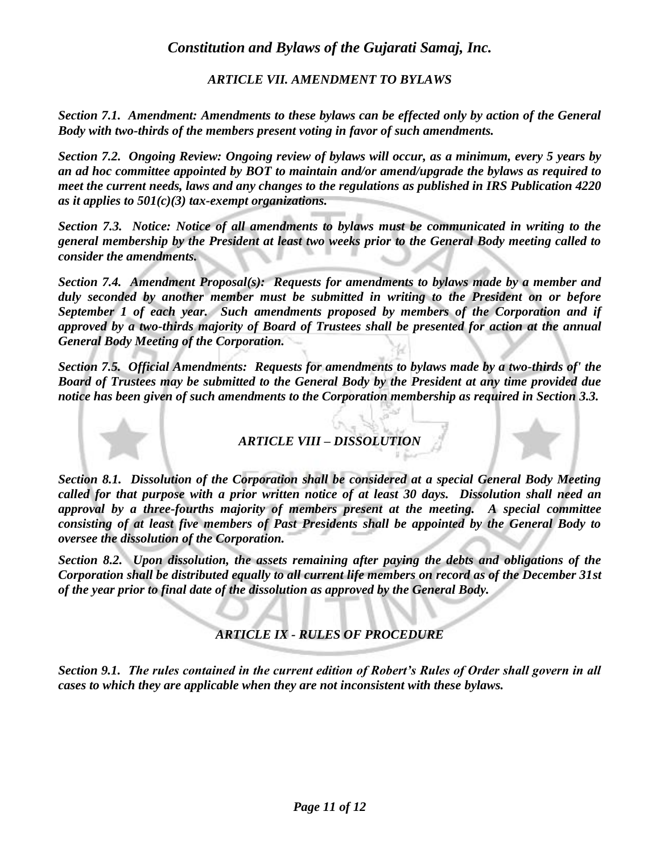### *ARTICLE VII. AMENDMENT TO BYLAWS*

*Section 7.1. Amendment: Amendments to these bylaws can be effected only by action of the General Body with two-thirds of the members present voting in favor of such amendments.*

*Section 7.2. Ongoing Review: Ongoing review of bylaws will occur, as a minimum, every 5 years by an ad hoc committee appointed by BOT to maintain and/or amend/upgrade the bylaws as required to meet the current needs, laws and any changes to the regulations as published in IRS Publication 4220 as it applies to 501(c)(3) tax-exempt organizations.*

*Section 7.3. Notice: Notice of all amendments to bylaws must be communicated in writing to the general membership by the President at least two weeks prior to the General Body meeting called to consider the amendments.*

*Section 7.4. Amendment Proposal(s): Requests for amendments to bylaws made by a member and duly seconded by another member must be submitted in writing to the President on or before September 1 of each year. Such amendments proposed by members of the Corporation and if approved by a two-thirds majority of Board of Trustees shall be presented for action at the annual General Body Meeting of the Corporation.*

*Section 7.5. Official Amendments: Requests for amendments to bylaws made by a two-thirds of' the Board of Trustees may be submitted to the General Body by the President at any time provided due notice has been given of such amendments to the Corporation membership as required in Section 3.3.*

### *ARTICLE VIII – DISSOLUTION*

*Section 8.1. Dissolution of the Corporation shall be considered at a special General Body Meeting called for that purpose with a prior written notice of at least 30 days. Dissolution shall need an approval by a three-fourths majority of members present at the meeting. A special committee consisting of at least five members of Past Presidents shall be appointed by the General Body to oversee the dissolution of the Corporation.*

*Section 8.2. Upon dissolution, the assets remaining after paying the debts and obligations of the Corporation shall be distributed equally to all current life members on record as of the December 31st of the year prior to final date of the dissolution as approved by the General Body.*

### *ARTICLE IX - RULES OF PROCEDURE*

*Section 9.1. The rules contained in the current edition of Robert's Rules of Order shall govern in all cases to which they are applicable when they are not inconsistent with these bylaws.*